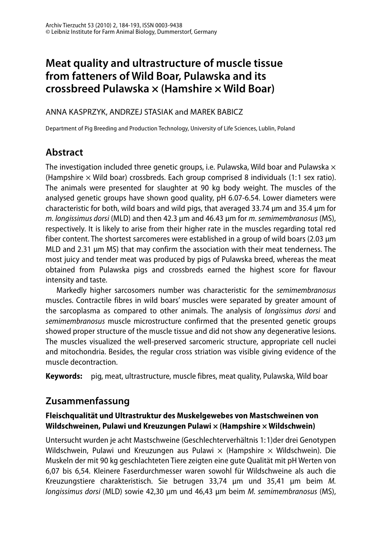# **Meat quality and ultrastructure of muscle tissue from fatteners of Wild Boar, Pulawska and its crossbreed Pulawska × (Hamshire × Wild Boar)**

#### ANNA KASPRZYK, ANDRZEJ STASIAK and MAREK BABICZ

Department of Pig Breeding and Production Technology, University of Life Sciences, Lublin, Poland

## **Abstract**

The investigation included three genetic groups, i.e. Pulawska, Wild boar and Pulawska  $\times$ (Hampshire  $\times$  Wild boar) crossbreds. Each group comprised 8 individuals (1:1 sex ratio). The animals were presented for slaughter at 90 kg body weight. The muscles of the analysed genetic groups have shown good quality, pH 6.07-6.54. Lower diameters were characteristic for both, wild boars and wild pigs, that averaged 33.74 μm and 35.4 μm for m. longissimus dorsi (MLD) and then 42.3 μm and 46.43 μm for m. semimembranosus (MS), respectively. It is likely to arise from their higher rate in the muscles regarding total red fiber content. The shortest sarcomeres were established in a group of wild boars (2.03 μm MLD and 2.31 μm MS) that may confirm the association with their meat tenderness. The most juicy and tender meat was produced by pigs of Pulawska breed, whereas the meat obtained from Pulawska pigs and crossbreds earned the highest score for flavour intensity and taste.

 Markedly higher sarcosomers number was characteristic for the semimembranosus muscles. Contractile fibres in wild boars' muscles were separated by greater amount of the sarcoplasma as compared to other animals. The analysis of longissimus dorsi and semimembranosus muscle microstructure confirmed that the presented genetic groups showed proper structure of the muscle tissue and did not show any degenerative lesions. The muscles visualized the well-preserved sarcomeric structure, appropriate cell nuclei and mitochondria. Besides, the regular cross striation was visible giving evidence of the muscle decontraction.

**Keywords:** pig, meat, ultrastructure, muscle fibres, meat quality, Pulawska, Wild boar

## **Zusammenfassung**

#### **Fleischqualität und Ultrastruktur des Muskelgewebes von Mastschweinen von Wildschweinen, Pulawi und Kreuzungen Pulawi × (Hampshire × Wildschwein)**

Untersucht wurden je acht Mastschweine (Geschlechterverhältnis 1:1)der drei Genotypen Wildschwein, Pulawi und Kreuzungen aus Pulawi  $\times$  (Hampshire  $\times$  Wildschwein). Die Muskeln der mit 90 kg geschlachteten Tiere zeigten eine gute Qualität mit pH Werten von 6,07 bis 6,54. Kleinere Faserdurchmesser waren sowohl für Wildschweine als auch die Kreuzungstiere charakteristisch. Sie betrugen 33,74 μm und 35,41 μm beim M. longissimus dorsi (MLD) sowie 42,30 μm und 46,43 μm beim M. semimembranosus (MS),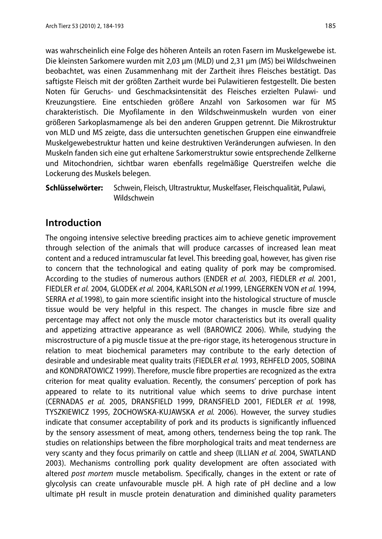was wahrscheinlich eine Folge des höheren Anteils an roten Fasern im Muskelgewebe ist. Die kleinsten Sarkomere wurden mit 2,03 μm (MLD) und 2,31 μm (MS) bei Wildschweinen beobachtet, was einen Zusammenhang mit der Zartheit ihres Fleisches bestätigt. Das saftigste Fleisch mit der größten Zartheit wurde bei Pulawitieren festgestellt. Die besten Noten für Geruchs- und Geschmacksintensität des Fleisches erzielten Pulawi- und Kreuzungstiere. Eine entschieden größere Anzahl von Sarkosomen war für MS charakteristisch. Die Myofilamente in den Wildschweinmuskeln wurden von einer größeren Sarkoplasmamenge als bei den anderen Gruppen getrennt. Die Mikrostruktur von MLD und MS zeigte, dass die untersuchten genetischen Gruppen eine einwandfreie Muskelgewebestruktur hatten und keine destruktiven Veränderungen aufwiesen. In den Muskeln fanden sich eine gut erhaltene Sarkomerstruktur sowie entsprechende Zellkerne und Mitochondrien, sichtbar waren ebenfalls regelmäßige Querstreifen welche die Lockerung des Muskels belegen.

**Schlüsselwörter:** Schwein, Fleisch, Ultrastruktur, Muskelfaser, Fleischqualität, Pulawi, Wildschwein

### **Introduction**

The ongoing intensive selective breeding practices aim to achieve genetic improvement through selection of the animals that will produce carcasses of increased lean meat content and a reduced intramuscular fat level. This breeding goal, however, has given rise to concern that the technological and eating quality of pork may be compromised. According to the studies of numerous authors (ENDER et al. 2003, FIEDLER et al. 2001, FIEDLER et al. 2004, GLODEK et al. 2004, KARLSON et al.1999, LENGERKEN VON et al. 1994, SERRA et al.1998), to gain more scientific insight into the histological structure of muscle tissue would be very helpful in this respect. The changes in muscle fibre size and percentage may affect not only the muscle motor characteristics but its overall quality and appetizing attractive appearance as well (BAROWICZ 2006). While, studying the miscrostructure of a pig muscle tissue at the pre-rigor stage, its heterogenous structure in relation to meat biochemical parameters may contribute to the early detection of desirable and undesirable meat quality traits (FIEDLER et al. 1993, REHFELD 2005, SOBINA and KONDRATOWICZ 1999). Therefore, muscle fibre properties are recognized as the extra criterion for meat quality evaluation. Recently, the consumers' perception of pork has appeared to relate to its nutritional value which seems to drive purchase intent (CERNADAS et al. 2005, DRANSFIELD 1999, DRANSFIELD 2001, FIEDLER et al. 1998, TYSZKIEWICZ 1995, ŻOCHOWSKA-KUJAWSKA et al. 2006). However, the survey studies indicate that consumer acceptability of pork and its products is significantly influenced by the sensory assessment of meat, among others, tenderness being the top rank. The studies on relationships between the fibre morphological traits and meat tenderness are very scanty and they focus primarily on cattle and sheep (ILLIAN et al. 2004, SWATLAND 2003). Mechanisms controlling pork quality development are often associated with altered post mortem muscle metabolism. Specifically, changes in the extent or rate of glycolysis can create unfavourable muscle pH. A high rate of pH decline and a low ultimate pH result in muscle protein denaturation and diminished quality parameters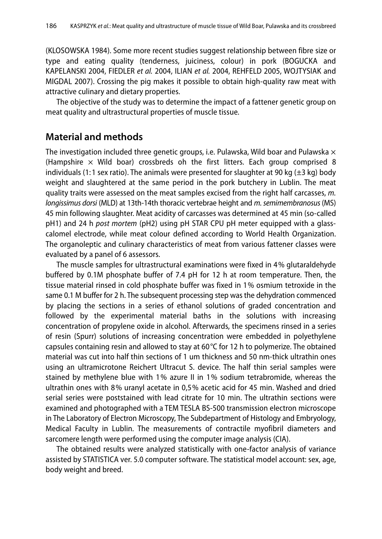(KLOSOWSKA 1984). Some more recent studies suggest relationship between fibre size or type and eating quality (tenderness, juiciness, colour) in pork (BOGUCKA and KAPELANSKI 2004, FIEDLER et al. 2004, ILIAN et al. 2004, REHFELD 2005, WOJTYSIAK and MIGDAL 2007). Crossing the pig makes it possible to obtain high-quality raw meat with attractive culinary and dietary properties.

 The objective of the study was to determine the impact of a fattener genetic group on meat quality and ultrastructural properties of muscle tissue.

#### **Material and methods**

The investigation included three genetic groups, i.e. Pulawska, Wild boar and Pulawska  $\times$ (Hampshire  $\times$  Wild boar) crossbreds oh the first litters. Each group comprised 8 individuals (1:1 sex ratio). The animals were presented for slaughter at 90 kg ( $\pm 3$  kg) body weight and slaughtered at the same period in the pork butchery in Lublin. The meat quality traits were assessed on the meat samples excised from the right half carcasses, m. longissimus dorsi (MLD) at 13th-14th thoracic vertebrae height and m. semimembranosus (MS) 45 min following slaughter. Meat acidity of carcasses was determined at 45 min (so-called pH1) and 24 h post mortem (pH2) using pH STAR CPU pH meter equipped with a glasscalomel electrode, while meat colour defined according to World Health Organization. The organoleptic and culinary characteristics of meat from various fattener classes were evaluated by a panel of 6 assessors.

 The muscle samples for ultrastructural examinations were fixed in 4% glutaraldehyde buffered by 0.1M phosphate buffer of 7.4 pH for 12 h at room temperature. Then, the tissue material rinsed in cold phosphate buffer was fixed in 1% osmium tetroxide in the same 0.1 M buffer for 2 h. The subsequent processing step was the dehydration commenced by placing the sections in a series of ethanol solutions of graded concentration and followed by the experimental material baths in the solutions with increasing concentration of propylene oxide in alcohol. Afterwards, the specimens rinsed in a series of resin (Spurr) solutions of increasing concentration were embedded in polyethylene capsules containing resin and allowed to stay at 60 $\degree$ C for 12 h to polymerize. The obtained material was cut into half thin sections of 1 um thickness and 50 nm-thick ultrathin ones using an ultramicrotone Reichert Ultracut S. device. The half thin serial samples were stained by methylene blue with 1% azure II in 1% sodium tetrabromide, whereas the ultrathin ones with 8% uranyl acetate in 0,5% acetic acid for 45 min. Washed and dried serial series were poststained with lead citrate for 10 min. The ultrathin sections were examined and photographed with a TEM TESLA BS-500 transmission electron microscope in The Laboratory of Electron Microscopy, The Subdepartment of Histology and Embryology, Medical Faculty in Lublin. The measurements of contractile myofibril diameters and sarcomere length were performed using the computer image analysis (CIA).

 The obtained results were analyzed statistically with one-factor analysis of variance assisted by STATISTICA ver. 5.0 computer software. The statistical model account: sex, age, body weight and breed.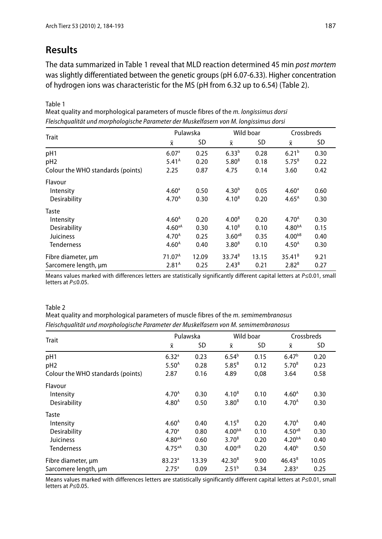### **Results**

The data summarized in Table 1 reveal that MLD reaction determined 45 min post mortem was slightly differentiated between the genetic groups (pH 6.07-6.33). Higher concentration of hydrogen ions was characteristic for the MS (pH from 6.32 up to 6.54) (Table 2).

Table 1

Meat quality and morphological parameters of muscle fibres of the m. longissimus dorsi Fleischqualität und morphologische Parameter der Muskelfasern von M. longissimus dorsi

| <b>Trait</b>                      | Pulawska           |       | Wild boar         |       | Crossbreds        |      |
|-----------------------------------|--------------------|-------|-------------------|-------|-------------------|------|
|                                   | $\bar{x}$          | SD    | $\bar{x}$         | SD    | Χī                | SD   |
| pH1                               | 6.07 <sup>a</sup>  | 0.25  | $6.33^{b}$        | 0.28  | 6.21 <sup>b</sup> | 0.30 |
| pH <sub>2</sub>                   | 5.41 <sup>A</sup>  | 0.20  | 5.80 <sup>B</sup> | 0.18  | $5.75^{B}$        | 0.22 |
| Colour the WHO standards (points) | 2.25               | 0.87  | 4.75              | 0.14  | 3.60              | 0.42 |
| Flavour                           |                    |       |                   |       |                   |      |
| Intensity                         | 4.60 <sup>a</sup>  | 0.50  | 4.30 <sup>b</sup> | 0.05  | 4.60 <sup>a</sup> | 0.60 |
| Desirability                      | 4.70 <sup>A</sup>  | 0.30  | $4.10^{B}$        | 0.20  | $4.65^{\text{A}}$ | 0.30 |
| Taste                             |                    |       |                   |       |                   |      |
| Intensity                         | 4.60 <sup>A</sup>  | 0.20  | 4.00 <sup>B</sup> | 0.20  | 4.70 <sup>A</sup> | 0.30 |
| Desirability                      | $4.60^{aA}$        | 0.30  | $4.10^{B}$        | 0.10  | $4.80^{bA}$       | 0.15 |
| <b>Juiciness</b>                  | 4.70 <sup>A</sup>  | 0.25  | $3.60aB}$         | 0.35  | $4.00^{bB}$       | 0.40 |
| <b>Tenderness</b>                 | 4.60 <sup>A</sup>  | 0.40  | 3.80 <sup>B</sup> | 0.10  | 4.50 <sup>A</sup> | 0.30 |
| Fibre diameter, um                | 71.07 <sup>A</sup> | 12.09 | $33.74^{B}$       | 13.15 | $35.41^{B}$       | 9.21 |
| Sarcomere length, µm              | 2.81 <sup>A</sup>  | 0.25  | $2.43^{B}$        | 0.21  | $2.82^{B}$        | 0.27 |

Means values marked with differences letters are statistically significantly different capital letters at P≤0.01, small letters at P≤0.05.

#### Table 2

Meat quality and morphological parameters of muscle fibres of the m. semimembranosus Fleischaualität und morphologische Parameter der Muskelfasern von M. semimembranosus

| <b>Trait</b>                      | Pulawska           |           | Wild boar          |           | Crossbreds         |       |
|-----------------------------------|--------------------|-----------|--------------------|-----------|--------------------|-------|
|                                   | $\bar{x}$          | <b>SD</b> | $\bar{\mathsf{x}}$ | <b>SD</b> | Χī                 | SD    |
| pH1                               | 6.32 <sup>a</sup>  | 0.23      | $6.54^{b}$         | 0.15      | 6.47 <sup>b</sup>  | 0.20  |
| pH <sub>2</sub>                   | 5.50 <sup>A</sup>  | 0.28      | $5.85^{B}$         | 0.12      | $5.70^{8}$         | 0.23  |
| Colour the WHO standards (points) | 2.87               | 0.16      | 4.89               | 0,08      | 3.64               | 0.58  |
| Flavour                           |                    |           |                    |           |                    |       |
| Intensity                         | 4.70 <sup>A</sup>  | 0.30      | $4.10^{B}$         | 0.10      | 4.60 <sup>A</sup>  | 0.30  |
| Desirability                      | 4.80 <sup>A</sup>  | 0.50      | 3.80 <sup>B</sup>  | 0.10      | 4.70 <sup>A</sup>  | 0.30  |
| Taste                             |                    |           |                    |           |                    |       |
| Intensity                         | 4.60 <sup>A</sup>  | 0.40      | $4.15^{B}$         | 0.20      | 4.70 <sup>A</sup>  | 0.40  |
| Desirability                      | 4.70 <sup>a</sup>  | 0.80      | 4.00 <sup>bA</sup> | 0.10      | $4.50aB}$          | 0.30  |
| <b>Juiciness</b>                  | 4.80 <sup>aA</sup> | 0.60      | 3.70 <sup>B</sup>  | 0.20      | 4.20 <sup>bA</sup> | 0.40  |
| <b>Tenderness</b>                 | $4.75^{aA}$        | 0.30      | 4.00 <sup>CB</sup> | 0.20      | 4.40 <sup>b</sup>  | 0.50  |
| Fibre diameter, um                | $83.23^a$          | 13.39     | $42.30^{B}$        | 9.00      | $46.43^{B}$        | 10.05 |
| Sarcomere length, um              | 2.75 <sup>a</sup>  | 0.09      | 2.51 <sup>b</sup>  | 0.34      | 2.83 <sup>a</sup>  | 0.25  |

Means values marked with differences letters are statistically significantly different capital letters at P≤0.01, small letters at P≤0.05.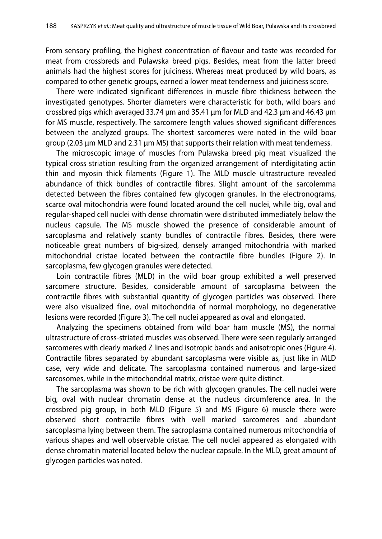From sensory profiling, the highest concentration of flavour and taste was recorded for meat from crossbreds and Pulawska breed pigs. Besides, meat from the latter breed animals had the highest scores for juiciness. Whereas meat produced by wild boars, as compared to other genetic groups, earned a lower meat tenderness and juiciness score.

 There were indicated significant differences in muscle fibre thickness between the investigated genotypes. Shorter diameters were characteristic for both, wild boars and crossbred pigs which averaged 33.74 μm and 35.41 μm for MLD and 42.3 μm and 46.43 μm for MS muscle, respectively. The sarcomere length values showed significant differences between the analyzed groups. The shortest sarcomeres were noted in the wild boar group (2.03 μm MLD and 2.31 μm MS) that supports their relation with meat tenderness.

 The microscopic image of muscles from Pulawska breed pig meat visualized the typical cross striation resulting from the organized arrangement of interdigitating actin thin and myosin thick filaments (Figure 1). The MLD muscle ultrastructure revealed abundance of thick bundles of contractile fibres. Slight amount of the sarcolemma detected between the fibres contained few glycogen granules. In the electronograms, scarce oval mitochondria were found located around the cell nuclei, while big, oval and regular-shaped cell nuclei with dense chromatin were distributed immediately below the nucleus capsule. The MS muscle showed the presence of considerable amount of sarcoplasma and relatively scanty bundles of contractile fibres. Besides, there were noticeable great numbers of big-sized, densely arranged mitochondria with marked mitochondrial cristae located between the contractile fibre bundles (Figure 2). In sarcoplasma, few glycogen granules were detected.

 Loin contractile fibres (MLD) in the wild boar group exhibited a well preserved sarcomere structure. Besides, considerable amount of sarcoplasma between the contractile fibres with substantial quantity of glycogen particles was observed. There were also visualized fine, oval mitochondria of normal morphology, no degenerative lesions were recorded (Figure 3). The cell nuclei appeared as oval and elongated.

 Analyzing the specimens obtained from wild boar ham muscle (MS), the normal ultrastructure of cross-striated muscles was observed. There were seen regularly arranged sarcomeres with clearly marked Z lines and isotropic bands and anisotropic ones (Figure 4). Contractile fibres separated by abundant sarcoplasma were visible as, just like in MLD case, very wide and delicate. The sarcoplasma contained numerous and large-sized sarcosomes, while in the mitochondrial matrix, cristae were quite distinct.

 The sarcoplasma was shown to be rich with glycogen granules. The cell nuclei were big, oval with nuclear chromatin dense at the nucleus circumference area. In the crossbred pig group, in both MLD (Figure 5) and MS (Figure 6) muscle there were observed short contractile fibres with well marked sarcomeres and abundant sarcoplasma lying between them. The sacroplasma contained numerous mitochondria of various shapes and well observable cristae. The cell nuclei appeared as elongated with dense chromatin material located below the nuclear capsule. In the MLD, great amount of glycogen particles was noted.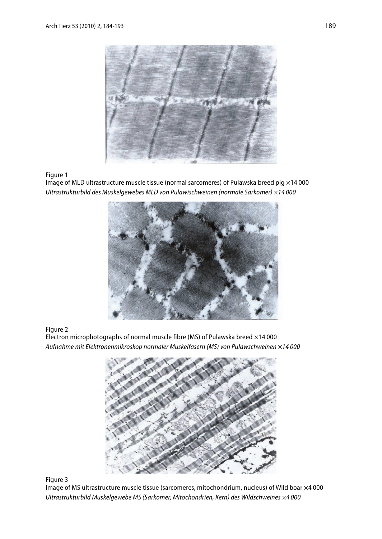

Figure 1

Image of MLD ultrastructure muscle tissue (normal sarcomeres) of Pulawska breed pig  $\times$ 14 000 Ultrastrukturbild des Muskelgewebes MLD von Pulawischweinen (normale Sarkomer) ×14 000



Figure 2

Electron microphotographs of normal muscle fibre (MS) of Pulawska breed ×14 000 Aufnahme mit Elektronenmikroskop normaler Muskelfasern (MS) von Pulawschweinen ×14 000



Figure 3

Image of MS ultrastructure muscle tissue (sarcomeres, mitochondrium, nucleus) of Wild boar ×4 000 Ultrastrukturbild Muskelgewebe MS (Sarkomer, Mitochondrien, Kern) des Wildschweines ×4 000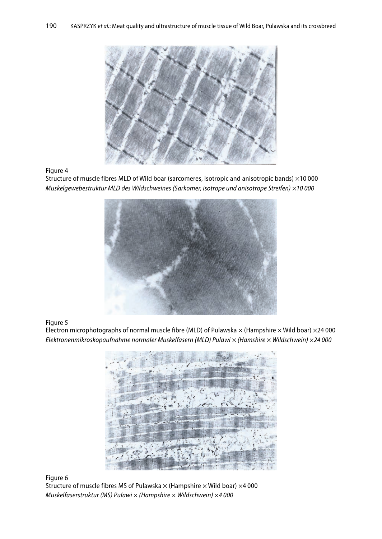

Figure 4

Structure of muscle fibres MLD of Wild boar (sarcomeres, isotropic and anisotropic bands) ×10 000 Muskelgewebestruktur MLD des Wildschweines (Sarkomer, isotrope und anisotrope Streifen) ×10 000



Figure 5

Electron microphotographs of normal muscle fibre (MLD) of Pulawska  $\times$  (Hampshire  $\times$  Wild boar)  $\times$ 24 000 Elektronenmikroskopaufnahme normaler Muskelfasern (MLD) Pulawi × (Hamshire × Wildschwein) ×24 000



Figure 6

Structure of muscle fibres MS of Pulawska  $\times$  (Hampshire  $\times$  Wild boar)  $\times$ 4 000 Muskelfaserstruktur (MS) Pulawi  $\times$  (Hampshire  $\times$  Wildschwein)  $\times$ 4 000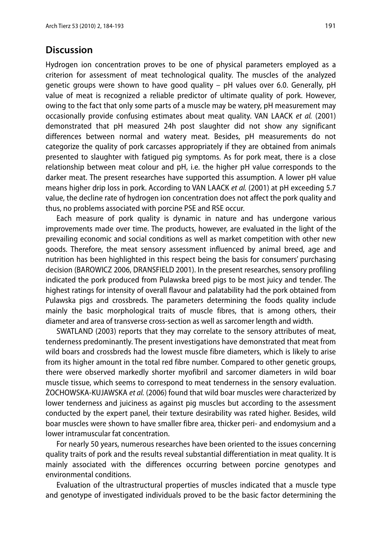#### **Discussion**

Hydrogen ion concentration proves to be one of physical parameters employed as a criterion for assessment of meat technological quality. The muscles of the analyzed genetic groups were shown to have good quality – pH values over 6.0. Generally, pH value of meat is recognized a reliable predictor of ultimate quality of pork. However, owing to the fact that only some parts of a muscle may be watery, pH measurement may occasionally provide confusing estimates about meat quality. VAN LAACK et al. (2001) demonstrated that pH measured 24h post slaughter did not show any significant differences between normal and watery meat. Besides, pH measurements do not categorize the quality of pork carcasses appropriately if they are obtained from animals presented to slaughter with fatigued pig symptoms. As for pork meat, there is a close relationship between meat colour and pH, i.e. the higher pH value corresponds to the darker meat. The present researches have supported this assumption. A lower pH value means higher drip loss in pork. According to VAN LAACK et al. (2001) at pH exceeding 5.7 value, the decline rate of hydrogen ion concentration does not affect the pork quality and thus, no problems associated with porcine PSE and RSE occur.

 Each measure of pork quality is dynamic in nature and has undergone various improvements made over time. The products, however, are evaluated in the light of the prevailing economic and social conditions as well as market competition with other new goods. Therefore, the meat sensory assessment influenced by animal breed, age and nutrition has been highlighted in this respect being the basis for consumers' purchasing decision (BAROWICZ 2006, DRANSFIELD 2001). In the present researches, sensory profiling indicated the pork produced from Pulawska breed pigs to be most juicy and tender. The highest ratings for intensity of overall flavour and palatability had the pork obtained from Pulawska pigs and crossbreds. The parameters determining the foods quality include mainly the basic morphological traits of muscle fibres, that is among others, their diameter and area of transverse cross-section as well as sarcomer length and width.

 SWATLAND (2003) reports that they may correlate to the sensory attributes of meat, tenderness predominantly. The present investigations have demonstrated that meat from wild boars and crossbreds had the lowest muscle fibre diameters, which is likely to arise from its higher amount in the total red fibre number. Compared to other genetic groups, there were observed markedly shorter myofibril and sarcomer diameters in wild boar muscle tissue, which seems to correspond to meat tenderness in the sensory evaluation. ŻOCHOWSKA-KUJAWSKA et al. (2006) found that wild boar muscles were characterized by lower tenderness and juiciness as against pig muscles but according to the assessment conducted by the expert panel, their texture desirability was rated higher. Besides, wild boar muscles were shown to have smaller fibre area, thicker peri- and endomysium and a lower intramuscular fat concentration.

 For nearly 50 years, numerous researches have been oriented to the issues concerning quality traits of pork and the results reveal substantial differentiation in meat quality. It is mainly associated with the differences occurring between porcine genotypes and environmental conditions.

 Evaluation of the ultrastructural properties of muscles indicated that a muscle type and genotype of investigated individuals proved to be the basic factor determining the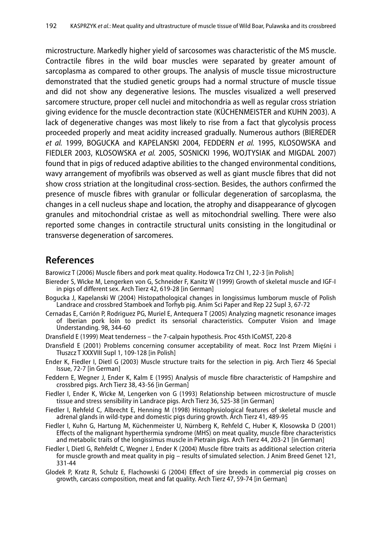microstructure. Markedly higher yield of sarcosomes was characteristic of the MS muscle. Contractile fibres in the wild boar muscles were separated by greater amount of sarcoplasma as compared to other groups. The analysis of muscle tissue microstructure demonstrated that the studied genetic groups had a normal structure of muscle tissue and did not show any degenerative lesions. The muscles visualized a well preserved sarcomere structure, proper cell nuclei and mitochondria as well as regular cross striation giving evidence for the muscle decontraction state (KÜCHENMEISTER and KUHN 2003). A lack of degenerative changes was most likely to rise from a fact that glycolysis process proceeded properly and meat acidity increased gradually. Numerous authors (BIEREDER et al. 1999, BOGUCKA and KAPELANSKI 2004, FEDDERN et al. 1995, KLOSOWSKA and FIEDLER 2003, KLOSOWSKA et al. 2005, SOSNICKI 1996, WOJTYSIAK and MIGDAL 2007) found that in pigs of reduced adaptive abilities to the changed environmental conditions, wavy arrangement of myofibrils was observed as well as giant muscle fibres that did not show cross striation at the longitudinal cross-section. Besides, the authors confirmed the presence of muscle fibres with granular or follicular degeneration of sarcoplasma, the changes in a cell nucleus shape and location, the atrophy and disappearance of glycogen granules and mitochondrial cristae as well as mitochondrial swelling. There were also reported some changes in contractile structural units consisting in the longitudinal or transverse degeneration of sarcomeres.

#### **References**

Barowicz T (2006) Muscle fibers and pork meat quality. Hodowca Trz Chl 1, 22-3 [in Polish]

- Biereder S, Wicke M, Lengerken von G, Schneider F, Kanitz W (1999) Growth of skeletal muscle and IGF-I in pigs of different sex. Arch Tierz 42, 619-28 [in German]
- Bogucka J, Kapelanski W (2004) Histopathological changes in longissimus lumborum muscle of Polish Landrace and crossbred Stamboek and Torhyb pig. Anim Sci Paper and Rep 22 Supl 3, 67-72
- Cernadas E, Carrión P, Rodriguez PG, Muriel E, Antequera T (2005) Analyzing magnetic resonance images of Iberian pork loin to predict its sensorial characteristics. Computer Vision and Image Understanding. 98, 344-60
- Dransfield E (1999) Meat tenderness the 7-calpain hypothesis. Proc 45th ICoMST, 220-8
- Dransfield E (2001) Problems concerning consumer acceptability of meat. Rocz Inst Przem Mięśni i Tłuszcz T XXXVIII Supl 1, 109-128 [in Polish]
- Ender K, Fiedler I, Dietl G (2003) Muscle structure traits for the selection in pig. Arch Tierz 46 Special Issue, 72-7 [in German]
- Feddern E, Wegner J, Ender K, Kalm E (1995) Analysis of muscle fibre characteristic of Hampshire and crossbred pigs. Arch Tierz 38, 43-56 [in German]
- Fiedler I, Ender K, Wicke M, Lengerken von G (1993) Relationship between microstructure of muscle tissue and stress sensibility in Landrace pigs. Arch Tierz 36, 525-38 [in German]
- Fiedler I, Rehfeld C, Albrecht E, Henning M (1998) Histophysiological features of skeletal muscle and adrenal glands in wild-type and domestic pigs during growth. Arch Tierz 41, 489-95
- Fiedler I, Kuhn G, Hartung M, Küchenmeister U, Nürnberg K, Rehfeld C, Huber K, Klosowska D (2001) Effects of the malignant hyperthermia syndrome (MHS) on meat quality, muscle fibre characteristics and metabolic traits of the longissimus muscle in Pietrain pigs. Arch Tierz 44, 203-21 [in German]
- Fiedler I, Dietl G, Rehfeldt C, Wegner J, Ender K (2004) Muscle fibre traits as additional selection criteria for muscle growth and meat quality in pig – results of simulated selection. J Anim Breed Genet 121, 331-44
- Glodek P, Kratz R, Schulz E, Flachowski G (2004) Effect of sire breeds in commercial pig crosses on growth, carcass composition, meat and fat quality. Arch Tierz 47, 59-74 [in German]